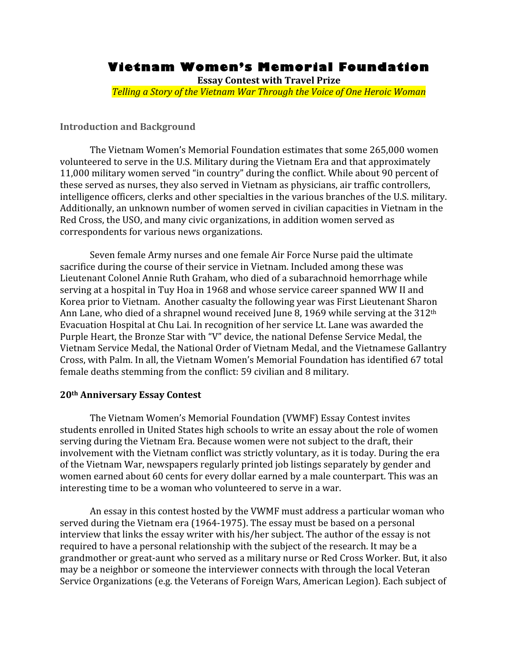# **Vietnam Women's Memorial Foundation**

**Essay
Contest
with
Travel
Prize Telling a Story of the Vietnam War Through the Voice of One Heroic Woman** 

#### **Introduction
and
Background**

The
Vietnam
Women's
Memorial
Foundation
estimates
that
some
265,000
women volunteered to serve in the U.S. Military during the Vietnam Era and that approximately 11,000 military women served "in country" during the conflict. While about 90 percent of these
served
as
nurses,
they also
served
in
Vietnam
as
physicians,
air
traffic
controllers, intelligence officers, clerks and other specialties in the various branches of the U.S. military. Additionally,
an
unknown
number
of
women
served
in
civilian
capacities
in
Vietnam
in
the Red Cross, the USO, and many civic organizations, in addition women served as correspondents
for
various
news
organizations.

Seven
female
Army
nurses
and
one
female
Air
Force
Nurse
paid
the
ultimate sacrifice
during
the
course
of
their
service
in
Vietnam.
Included
among
these
was Lieutenant
Colonel
Annie
Ruth
Graham,
who
died
of
a
subarachnoid
hemorrhage
while serving at a hospital in Tuy Hoa in 1968 and whose service career spanned WW II and Korea
prior
to
Vietnam. Another
casualty
the
following
year
was
First
Lieutenant
Sharon Ann Lane, who died of a shrapnel wound received June 8, 1969 while serving at the 312<sup>th</sup> Evacuation
Hospital
at
Chu
Lai.
In
recognition
of
her
service
Lt.
Lane
was
awarded
the Purple Heart, the Bronze Star with "V" device, the national Defense Service Medal, the Vietnam
Service
Medal,
the
National
Order
of
Vietnam
Medal,
and
the
Vietnamese
Gallantry Cross,
with
Palm.
In
all,
the
Vietnam
Women's
Memorial
Foundation
has
identified
67
total female
deaths
stemming
from
the
conflict:
59
civilian
and
8
military.

#### **20th
Anniversary
Essay
Contest**

The
Vietnam
Women's
Memorial
Foundation
(VWMF)
Essay
Contest
invites students
enrolled
in
United
States
high
schools
to
write
an
essay
about
the
role
of
women serving during the Vietnam Era. Because women were not subject to the draft, their involvement with the Vietnam conflict was strictly voluntary, as it is today. During the era of
the
Vietnam
War,
newspapers
regularly
printed
job
listings
separately
by
gender
and women earned about 60 cents for every dollar earned by a male counterpart. This was an interesting time to be a woman who volunteered to serve in a war.

An
essay
in
this
contest
hosted
by
the
VWMF
must
address
a particular
woman
who served
during
the
Vietnam
era
(1964‐1975).
The
essay
must
be
based
on
a
personal interview that links the essay writer with his/her subject. The author of the essay is not required to have a personal relationship with the subject of the research. It may be a grandmother or great-aunt who served as a military nurse or Red Cross Worker. But, it also may be a neighbor or someone the interviewer connects with through the local Veteran Service Organizations (e.g. the Veterans of Foreign Wars, American Legion). Each subject of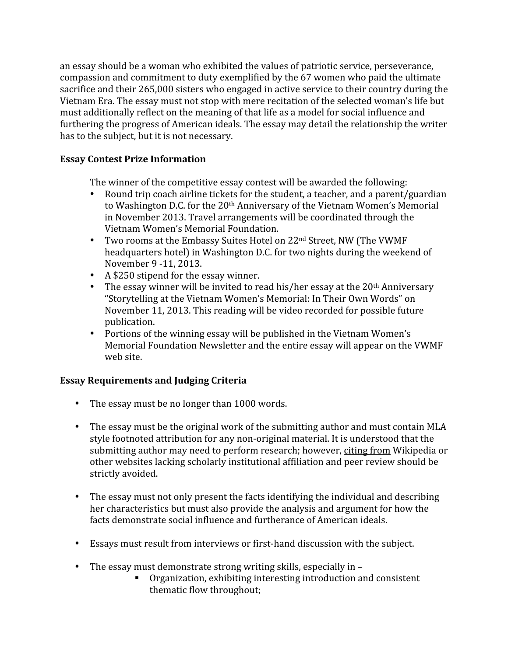an
essay
should
be
a
woman
who
exhibited
the
values
of
patriotic
service,
perseverance, compassion
and
commitment
to
duty
exemplified
by
the
67
women
who
paid
the
ultimate sacrifice and their 265,000 sisters who engaged in active service to their country during the Vietnam Era. The essay must not stop with mere recitation of the selected woman's life but must additionally reflect on the meaning of that life as a model for social influence and furthering the progress of American ideals. The essay may detail the relationship the writer has to the subject, but it is not necessary.

# **Essay
Contest
Prize
Information**

The winner of the competitive essay contest will be awarded the following:

- Round trip coach airline tickets for the student, a teacher, and a parent/guardian to Washington D.C. for the 20<sup>th</sup> Anniversary of the Vietnam Women's Memorial in
November
2013.
Travel
arrangements
will
be
coordinated
through
the Vietnam
Women's
Memorial
Foundation.
- Two rooms at the Embassy Suites Hotel on 22<sup>nd</sup> Street, NW (The VWMF headquarters
hotel)
in
Washington
D.C.
for
two
nights
during
the
weekend
of November
9 ‐11,
2013.
- A \$250 stipend for the essay winner.
- The essay winner will be invited to read his/her essay at the 20<sup>th</sup> Anniversary "Storytelling
at
the
Vietnam
Women's
Memorial:
In
Their
Own
Words"
on November
11,
2013.
This
reading
will
be
video
recorded
for
possible
future publication.
- Portions of the winning essay will be published in the Vietnam Women's Memorial
Foundation
Newsletter
and
the
entire
essay
will
appear
on
the
VWMF web
site.

# **Essay
Requirements
and
Judging
Criteria**

- The essay must be no longer than 1000 words.
- The essay must be the original work of the submitting author and must contain MLA style footnoted attribution for any non-original material. It is understood that the submitting
author
may
need
to
perform
research;
however,
citing
from
Wikipedia
or other
websites
lacking
scholarly
institutional
affiliation
and
peer
review
should
be strictly
avoided.
- The essay must not only present the facts identifying the individual and describing her
characteristics
but
must
also
provide
the
analysis
and
argument
for
how
the facts
demonstrate
social
influence
and
furtherance
of
American
ideals.
- Essays must result from interviews or first-hand discussion with the subject.
- The essay must demonstrate strong writing skills, especially in
	- Organization,
	exhibiting
	interesting
	introduction
	and
	consistent thematic
	flow
	throughout;